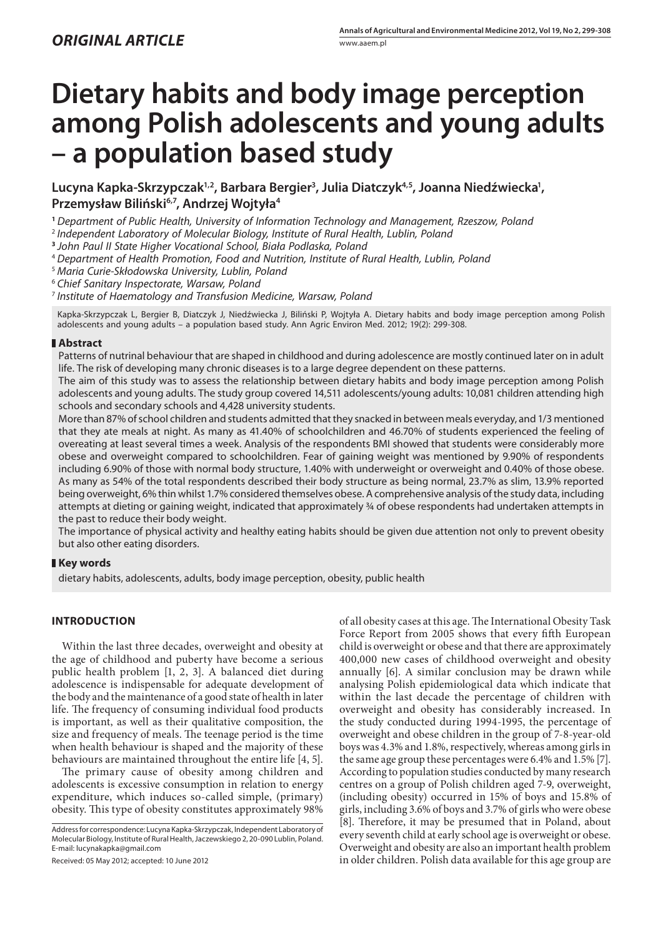# **Dietary habits and body image perception among Polish adolescents and young adults – a population based study**

**Lucyna Kapka-Skrzypczak1,2, Barbara Bergier3 , Julia Diatczyk4,5, Joanna Niedźwiecka1 ,**  Przemysław Biliński<sup>6,7</sup>, Andrzej Wojtyła<sup>4</sup>

**<sup>1</sup>***Department of Public Health, University of Information Technology and Management, Rzeszow, Poland*

<sup>2</sup>*Independent Laboratory of Molecular Biology, Institute of Rural Health, Lublin, Poland*

**<sup>3</sup>***John Paul II State Higher Vocational School, Biała Podlaska, Poland*

<sup>4</sup>*Department of Health Promotion, Food and Nutrition, Institute of Rural Health, Lublin, Poland*

<sup>5</sup>*Maria Curie-Skłodowska University, Lublin, Poland*

<sup>6</sup>*Chief Sanitary Inspectorate, Warsaw, Poland*

<sup>7</sup>*Institute of Haematology and Transfusion Medicine, Warsaw, Poland*

Kapka-Skrzypczak L, Bergier B, Diatczyk J, Niedźwiecka J, Biliński P, Wojtyła A. Dietary habits and body image perception among Polish adolescents and young adults – a population based study. Ann Agric Environ Med. 2012; 19(2): 299-308.

## **Abstract**

Patterns of nutrinal behaviour that are shaped in childhood and during adolescence are mostly continued later on in adult life. The risk of developing many chronic diseases is to a large degree dependent on these patterns.

The aim of this study was to assess the relationship between dietary habits and body image perception among Polish adolescents and young adults. The study group covered 14,511 adolescents/young adults: 10,081 children attending high schools and secondary schools and 4,428 university students.

More than 87% of school children and students admitted that they snacked in between meals everyday, and 1/3 mentioned that they ate meals at night. As many as 41.40% of schoolchildren and 46.70% of students experienced the feeling of overeating at least several times a week. Analysis of the respondents BMI showed that students were considerably more obese and overweight compared to schoolchildren. Fear of gaining weight was mentioned by 9.90% of respondents including 6.90% of those with normal body structure, 1.40% with underweight or overweight and 0.40% of those obese. As many as 54% of the total respondents described their body structure as being normal, 23.7% as slim, 13.9% reported being overweight, 6% thin whilst 1.7% considered themselves obese. A comprehensive analysis of the study data, including attempts at dieting or gaining weight, indicated that approximately ¾ of obese respondents had undertaken attempts in the past to reduce their body weight.

The importance of physical activity and healthy eating habits should be given due attention not only to prevent obesity but also other eating disorders.

## **Key words**

dietary habits, adolescents, adults, body image perception, obesity, public health

## **INTRODUCTION**

Within the last three decades, overweight and obesity at the age of childhood and puberty have become a serious public health problem [1, 2, 3]. A balanced diet during adolescence is indispensable for adequate development of the body and the maintenance of a good state of health in later life. The frequency of consuming individual food products is important, as well as their qualitative composition, the size and frequency of meals. The teenage period is the time when health behaviour is shaped and the majority of these behaviours are maintained throughout the entire life [4, 5].

The primary cause of obesity among children and adolescents is excessive consumption in relation to energy expenditure, which induces so-called simple, (primary) obesity. This type of obesity constitutes approximately 98%

Address for correspondence: Lucyna Kapka-Skrzypczak, Independent Laboratory of Molecular Biology, Institute of Rural Health, Jaczewskiego 2, 20-090 Lublin, Poland. E-mail: lucynakapka@gmail.com

Received: 05 May 2012; accepted: 10 June 2012

of all obesity cases at this age. The International Obesity Task Force Report from 2005 shows that every fifth European child is overweight or obese and that there are approximately 400,000 new cases of childhood overweight and obesity annually [6]. A similar conclusion may be drawn while analysing Polish epidemiological data which indicate that within the last decade the percentage of children with overweight and obesity has considerably increased. In the study conducted during 1994-1995, the percentage of overweight and obese children in the group of 7-8-year-old boys was 4.3% and 1.8%, respectively, whereas among girls in the same age group these percentages were 6.4% and 1.5% [7]. According to population studies conducted by many research centres on a group of Polish children aged 7-9, overweight, (including obesity) occurred in 15% of boys and 15.8% of girls, including 3.6% of boys and 3.7% of girls who were obese [8]. Therefore, it may be presumed that in Poland, about every seventh child at early school age is overweight or obese. Overweight and obesity are also an important health problem in older children. Polish data available for this age group are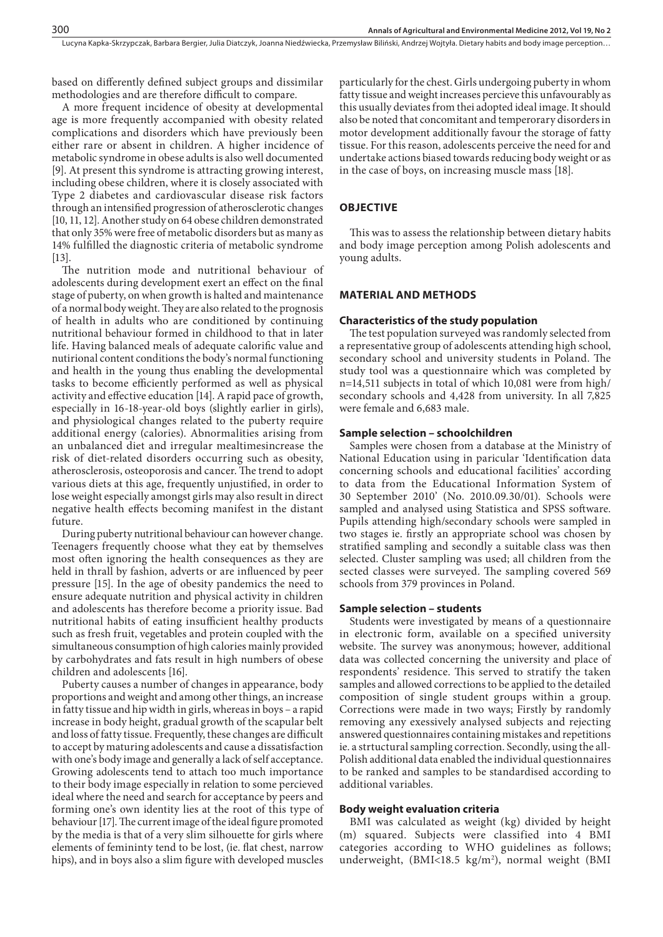based on differently defined subject groups and dissimilar methodologies and are therefore difficult to compare.

A more frequent incidence of obesity at developmental age is more frequently accompanied with obesity related complications and disorders which have previously been either rare or absent in children. A higher incidence of metabolic syndrome in obese adults is also well documented [9]. At present this syndrome is attracting growing interest, including obese children, where it is closely associated with Type 2 diabetes and cardiovascular disease risk factors through an intensified progression of atherosclerotic changes [10, 11, 12]. Another study on 64 obese children demonstrated that only 35% were free of metabolic disorders but as many as 14% fulfilled the diagnostic criteria of metabolic syndrome [13].

The nutrition mode and nutritional behaviour of adolescents during development exert an effect on the final stage of puberty, on when growth is halted and maintenance of a normal body weight. They are also related to the prognosis of health in adults who are conditioned by continuing nutritional behaviour formed in childhood to that in later life. Having balanced meals of adequate calorific value and nutirional content conditions the body's normal functioning and health in the young thus enabling the developmental tasks to become efficiently performed as well as physical activity and effective education [14]. A rapid pace of growth, especially in 16-18-year-old boys (slightly earlier in girls), and physiological changes related to the puberty require additional energy (calories). Abnormalities arising from an unbalanced diet and irregular mealtimesincrease the risk of diet-related disorders occurring such as obesity, atherosclerosis, osteoporosis and cancer. The trend to adopt various diets at this age, frequently unjustified, in order to lose weight especially amongst girls may also result in direct negative health effects becoming manifest in the distant future.

During puberty nutritional behaviour can however change. Teenagers frequently choose what they eat by themselves most often ignoring the health consequences as they are held in thrall by fashion, adverts or are influenced by peer pressure [15]. In the age of obesity pandemics the need to ensure adequate nutrition and physical activity in children and adolescents has therefore become a priority issue. Bad nutritional habits of eating insufficient healthy products such as fresh fruit, vegetables and protein coupled with the simultaneous consumption of high calories mainly provided by carbohydrates and fats result in high numbers of obese children and adolescents [16].

Puberty causes a number of changes in appearance, body proportions and weight and among other things, an increase in fatty tissue and hip width in girls, whereas in boys – a rapid increase in body height, gradual growth of the scapular belt and loss of fatty tissue. Frequently, these changes are difficult to accept by maturing adolescents and cause a dissatisfaction with one's body image and generally a lack of self acceptance. Growing adolescents tend to attach too much importance to their body image especially in relation to some percieved ideal where the need and search for acceptance by peers and forming one's own identity lies at the root of this type of behaviour [17]. The current image of the ideal figure promoted by the media is that of a very slim silhouette for girls where elements of femininty tend to be lost, (ie. flat chest, narrow hips), and in boys also a slim figure with developed muscles

particularly for the chest. Girls undergoing puberty in whom fatty tissue and weight increases percieve this unfavourably as this usually deviates from thei adopted ideal image. It should also be noted that concomitant and temperorary disorders in motor development additionally favour the storage of fatty tissue. For this reason, adolescents perceive the need for and undertake actions biased towards reducing body weight or as in the case of boys, on increasing muscle mass [18].

#### **OBJECTIVE**

This was to assess the relationship between dietary habits and body image perception among Polish adolescents and young adults.

#### **MATERIAL AND METHODS**

#### **Characteristics of the study population**

The test population surveyed was randomly selected from a representative group of adolescents attending high school, secondary school and university students in Poland. The study tool was a questionnaire which was completed by n=14,511 subjects in total of which 10,081 were from high/ secondary schools and 4,428 from university. In all 7,825 were female and 6,683 male.

#### **Sample selection – schoolchildren**

Samples were chosen from a database at the Ministry of National Education using in paricular 'Identification data concerning schools and educational facilities' according to data from the Educational Information System of 30 September 2010' (No. 2010.09.30/01). Schools were sampled and analysed using Statistica and SPSS software. Pupils attending high/secondary schools were sampled in two stages ie. firstly an appropriate school was chosen by stratified sampling and secondly a suitable class was then selected. Cluster sampling was used; all children from the sected classes were surveyed. The sampling covered 569 schools from 379 provinces in Poland.

## **Sample selection – students**

Students were investigated by means of a questionnaire in electronic form, available on a specified university website. The survey was anonymous; however, additional data was collected concerning the university and place of respondents' residence. This served to stratify the taken samples and allowed corrections to be applied to the detailed composition of single student groups within a group. Corrections were made in two ways; Firstly by randomly removing any exessively analysed subjects and rejecting answered questionnaires containing mistakes and repetitions ie. a strtuctural sampling correction. Secondly, using the all-Polish additional data enabled the individual questionnaires to be ranked and samples to be standardised according to additional variables.

#### **Body weight evaluation criteria**

BMI was calculated as weight (kg) divided by height (m) squared. Subjects were classified into 4 BMI categories according to WHO guidelines as follows; underweight, (BMI<18.5 kg/m<sup>2</sup>), normal weight (BMI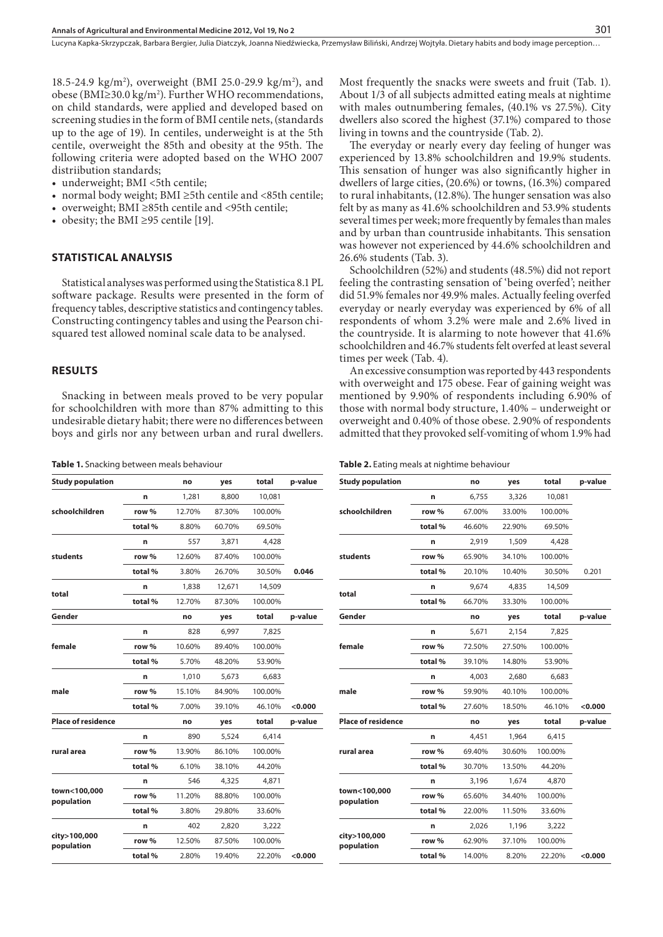18.5-24.9 kg/m<sup>2</sup>), overweight (BMI 25.0-29.9 kg/m<sup>2</sup>), and obese (BMI≥30.0 kg/m<sup>2</sup>). Further WHO recommendations, on child standards, were applied and developed based on screening studies in the form of BMI centile nets, (standards up to the age of 19). In centiles, underweight is at the 5th centile, overweight the 85th and obesity at the 95th. The following criteria were adopted based on the WHO 2007 distriibution standards;

- underweight; BMI <5th centile;
- • normal body weight; BMI ≥5th centile and <85th centile;
- • overweight; BMI ≥85th centile and <95th centile;
- obesity; the BMI ≥95 centile [19].

#### **STATISTICAL ANALYSIS**

Statistical analyses was performed using the Statistica 8.1 PL software package. Results were presented in the form of frequency tables, descriptive statistics and contingency tables. Constructing contingency tables and using the Pearson chisquared test allowed nominal scale data to be analysed.

## **RESULTS**

Snacking in between meals proved to be very popular for schoolchildren with more than 87% admitting to this undesirable dietary habit; there were no differences between boys and girls nor any between urban and rural dwellers.

**Table 1.** Snacking between meals behaviour

| <b>Study population</b>    |         | no     | yes    | total                                                                                           | p-value |
|----------------------------|---------|--------|--------|-------------------------------------------------------------------------------------------------|---------|
|                            | n       | 1,281  | 8.800  | 10,081                                                                                          |         |
| schoolchildren             | row %   | 12.70% | 87.30% | 100.00%                                                                                         |         |
|                            | total%  | 8.80%  | 60.70% | 69.50%                                                                                          |         |
|                            | n       | 557    | 3,871  | 4,428                                                                                           |         |
| students                   | row %   | 12.60% | 87.40% | 100.00%                                                                                         |         |
|                            | total % | 3.80%  | 26.70% | 30.50%                                                                                          | 0.046   |
|                            | n       | 1,838  | 12,671 | 14,509                                                                                          |         |
| total                      | total % | 12.70% | 87.30% | 100.00%                                                                                         |         |
| Gender                     |         | no     | yes    | total                                                                                           | p-value |
|                            | n       | 828    | 6,997  | 7,825                                                                                           |         |
| female                     | row %   | 10.60% | 89.40% | 100.00%                                                                                         |         |
|                            | total%  | 5.70%  | 48.20% | 53.90%                                                                                          |         |
|                            | n       | 1,010  | 5,673  | 6,683                                                                                           |         |
| male                       | row %   | 15.10% | 84.90% | 100.00%                                                                                         |         |
|                            | total % | 7.00%  | 39.10% | 46.10%                                                                                          | < 0.000 |
| <b>Place of residence</b>  |         | no     | yes    | total<br>6,414<br>100.00%<br>44.20%<br>4,871<br>100.00%<br>33.60%<br>3,222<br>100.00%<br>22.20% | p-value |
|                            | n       | 890    | 5,524  |                                                                                                 |         |
| rural area                 | row %   | 13.90% | 86.10% |                                                                                                 |         |
|                            | total % | 6.10%  | 38.10% |                                                                                                 |         |
|                            | n       | 546    | 4,325  |                                                                                                 |         |
| town<100,000<br>population | row %   | 11.20% | 88.80% |                                                                                                 |         |
|                            | total % | 3.80%  | 29.80% |                                                                                                 |         |
|                            | n       | 402    | 2,820  |                                                                                                 |         |
| city>100,000<br>population | row %   | 12.50% | 87.50% |                                                                                                 |         |
|                            | total%  | 2.80%  | 19.40% |                                                                                                 | < 0.000 |

Most frequently the snacks were sweets and fruit (Tab. 1). About 1/3 of all subjects admitted eating meals at nightime with males outnumbering females, (40.1% vs 27.5%). City dwellers also scored the highest (37.1%) compared to those living in towns and the countryside (Tab. 2).

The everyday or nearly every day feeling of hunger was experienced by 13.8% schoolchildren and 19.9% students. This sensation of hunger was also significantly higher in dwellers of large cities, (20.6%) or towns, (16.3%) compared to rural inhabitants, (12.8%). The hunger sensation was also felt by as many as 41.6% schoolchildren and 53.9% students several times per week; more frequently by females than males and by urban than countruside inhabitants. This sensation was however not experienced by 44.6% schoolchildren and 26.6% students (Tab. 3).

Schoolchildren (52%) and students (48.5%) did not report feeling the contrasting sensation of 'being overfed'; neither did 51.9% females nor 49.9% males. Actually feeling overfed everyday or nearly everyday was experienced by 6% of all respondents of whom 3.2% were male and 2.6% lived in the countryside. It is alarming to note however that 41.6% schoolchildren and 46.7% students felt overfed at least several times per week (Tab. 4).

An excessive consumption was reported by 443 respondents with overweight and 175 obese. Fear of gaining weight was mentioned by 9.90% of respondents including 6.90% of those with normal body structure, 1.40% – underweight or overweight and 0.40% of those obese. 2.90% of respondents admitted that they provoked self-vomiting of whom 1.9% had

|  |  | <b>Table 2.</b> Eating meals at nightime behaviour |
|--|--|----------------------------------------------------|
|  |  |                                                    |

| <b>Study population</b>    |         | no     | yes    | total   | p-value   |
|----------------------------|---------|--------|--------|---------|-----------|
|                            | n       | 6,755  | 3,326  | 10,081  |           |
| schoolchildren             | row %   | 67.00% | 33.00% | 100.00% |           |
|                            | total % | 46.60% | 22.90% | 69.50%  |           |
|                            | n       | 2,919  | 1,509  | 4,428   |           |
| students                   | row %   | 65.90% | 34.10% | 100.00% |           |
|                            | total % | 20.10% | 10.40% | 30.50%  | 0.201     |
|                            | n       | 9,674  | 4,835  | 14,509  |           |
| total                      | total % | 66.70% | 33.30% | 100.00% |           |
| Gender                     |         | no     | yes    | total   | p-value   |
|                            | n       | 5,671  | 2,154  | 7,825   |           |
| female                     | row %   | 72.50% | 27.50% | 100.00% |           |
|                            | total % | 39.10% | 14.80% | 53.90%  |           |
|                            | n       | 4,003  | 2,680  | 6,683   |           |
| male                       | row %   | 59.90% | 40.10% | 100.00% |           |
|                            | total % | 27.60% | 18.50% | 46.10%  | 0.000     |
| <b>Place of residence</b>  |         | no     | yes    | total   | p-value   |
|                            | n       | 4,451  | 1,964  | 6,415   |           |
| rural area                 | row %   | 69.40% | 30.60% | 100.00% |           |
|                            | total%  | 30.70% | 13.50% | 44.20%  |           |
|                            | n       | 3,196  | 1,674  | 4,870   |           |
| town<100,000<br>population | row %   | 65.60% | 34.40% | 100.00% |           |
|                            | total%  | 22.00% | 11.50% | 33.60%  |           |
|                            | n       | 2,026  | 1,196  | 3,222   |           |
| city>100,000<br>population | row %   | 62.90% | 37.10% | 100.00% |           |
|                            | total % | 14.00% | 8.20%  | 22.20%  | $<$ 0.000 |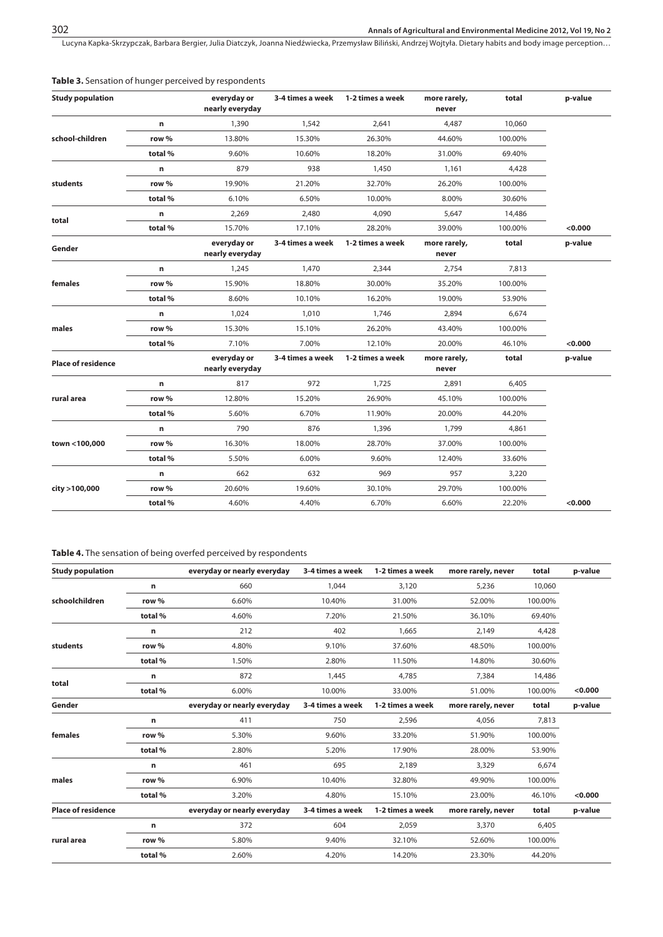| <b>Study population</b>   |         | everyday or<br>nearly everyday | 3-4 times a week | 1-2 times a week | more rarely,<br>never | total   | p-value |
|---------------------------|---------|--------------------------------|------------------|------------------|-----------------------|---------|---------|
|                           | n       | 1,390                          | 1,542            | 2,641            | 4,487                 | 10,060  |         |
| school-children           | row %   | 13.80%                         | 15.30%           | 26.30%           | 44.60%                | 100.00% |         |
|                           | total%  | 9.60%                          | 10.60%           | 18.20%           | 31.00%                | 69.40%  |         |
|                           | n       | 879                            | 938              | 1,450            | 1,161                 | 4,428   |         |
| students                  | row %   | 19.90%                         | 21.20%           | 32.70%           | 26.20%                | 100.00% |         |
|                           | total%  | 6.10%                          | 6.50%            | 10.00%           | 8.00%                 | 30.60%  |         |
|                           | n       | 2,269                          | 2,480            | 4,090            | 5,647                 | 14,486  |         |
| total                     | total%  | 15.70%                         | 17.10%           | 28.20%           | 39.00%                | 100.00% | < 0.000 |
| Gender                    |         | everyday or<br>nearly everyday | 3-4 times a week | 1-2 times a week | more rarely,<br>never | total   | p-value |
|                           | n       | 1,245                          | 1,470            | 2,344            | 2,754                 | 7,813   |         |
| females                   | row %   | 15.90%                         | 18.80%           | 30.00%           | 35.20%                | 100.00% |         |
|                           | total%  | 8.60%                          | 10.10%           | 16.20%           | 19.00%                | 53.90%  |         |
|                           | n       | 1,024                          | 1,010            | 1,746            | 2,894                 | 6,674   |         |
| males                     | row %   | 15.30%                         | 15.10%           | 26.20%           | 43.40%                | 100.00% |         |
|                           | total%  | 7.10%                          | 7.00%            | 12.10%           | 20.00%                | 46.10%  | < 0.000 |
| <b>Place of residence</b> |         | everyday or<br>nearly everyday | 3-4 times a week | 1-2 times a week | more rarely,<br>never | total   | p-value |
|                           | n       | 817                            | 972              | 1,725            | 2,891                 | 6,405   |         |
| rural area                | row %   | 12.80%                         | 15.20%           | 26.90%           | 45.10%                | 100.00% |         |
|                           | total%  | 5.60%                          | 6.70%            | 11.90%           | 20.00%                | 44.20%  |         |
|                           | n       | 790                            | 876              | 1,396            | 1,799                 | 4,861   |         |
| town <100,000             | row %   | 16.30%                         | 18.00%           | 28.70%           | 37.00%                | 100.00% |         |
|                           | total%  | 5.50%                          | 6.00%            | 9.60%            | 12.40%                | 33.60%  |         |
|                           | n       | 662                            | 632              | 969              | 957                   | 3,220   |         |
| city >100,000             | row %   | 20.60%                         | 19.60%           | 30.10%           | 29.70%                | 100.00% |         |
|                           | total % | 4.60%                          | 4.40%            | 6.70%            | 6.60%                 | 22.20%  | < 0.000 |

## **Table 3.** Sensation of hunger perceived by respondents

# **Table 4.** The sensation of being overfed perceived by respondents

| <b>Study population</b>   |         | everyday or nearly everyday | 3-4 times a week | 1-2 times a week | more rarely, never | total   | p-value |
|---------------------------|---------|-----------------------------|------------------|------------------|--------------------|---------|---------|
|                           | n       | 660                         | 1,044            | 3,120            | 5,236              | 10,060  |         |
| schoolchildren            | row %   | 6.60%                       | 10.40%           | 31.00%           | 52.00%             | 100.00% |         |
|                           | total%  | 4.60%                       | 7.20%            | 21.50%           | 36.10%             | 69.40%  |         |
|                           | n       | 212                         | 402              | 1,665            | 2,149              | 4,428   |         |
| students                  | row %   | 4.80%                       | 9.10%            | 37.60%           | 48.50%             | 100.00% |         |
| total                     | total%  | 1.50%                       | 2.80%            | 11.50%           | 14.80%             | 30.60%  |         |
|                           | n       | 872                         | 1,445            | 4,785            | 7,384              | 14,486  |         |
|                           | total%  | 6.00%                       | 10.00%           | 33.00%           | 51.00%             | 100.00% | < 0.000 |
| Gender                    |         | everyday or nearly everyday | 3-4 times a week | 1-2 times a week | more rarely, never | total   | p-value |
|                           | n       | 411                         | 750              | 2,596            | 4,056              | 7,813   |         |
| females                   | row %   | 5.30%                       | 9.60%            | 33.20%           | 51.90%             | 100.00% |         |
|                           | total % | 2.80%                       | 5.20%            | 17.90%           | 28.00%             | 53.90%  |         |
|                           | n       | 461                         | 695              | 2,189            | 3,329              | 6,674   |         |
| males                     | row %   | 6.90%                       | 10.40%           | 32.80%           | 49.90%             | 100.00% |         |
|                           | total % | 3.20%                       | 4.80%            | 15.10%           | 23.00%             | 46.10%  | < 0.000 |
| <b>Place of residence</b> |         | everyday or nearly everyday | 3-4 times a week | 1-2 times a week | more rarely, never | total   | p-value |
|                           | n       | 372                         | 604              | 2,059            | 3,370              | 6,405   |         |
| rural area                | row %   | 5.80%                       | 9.40%            | 32.10%           | 52.60%             | 100.00% |         |
|                           | total % | 2.60%                       | 4.20%            | 14.20%           | 23.30%             | 44.20%  |         |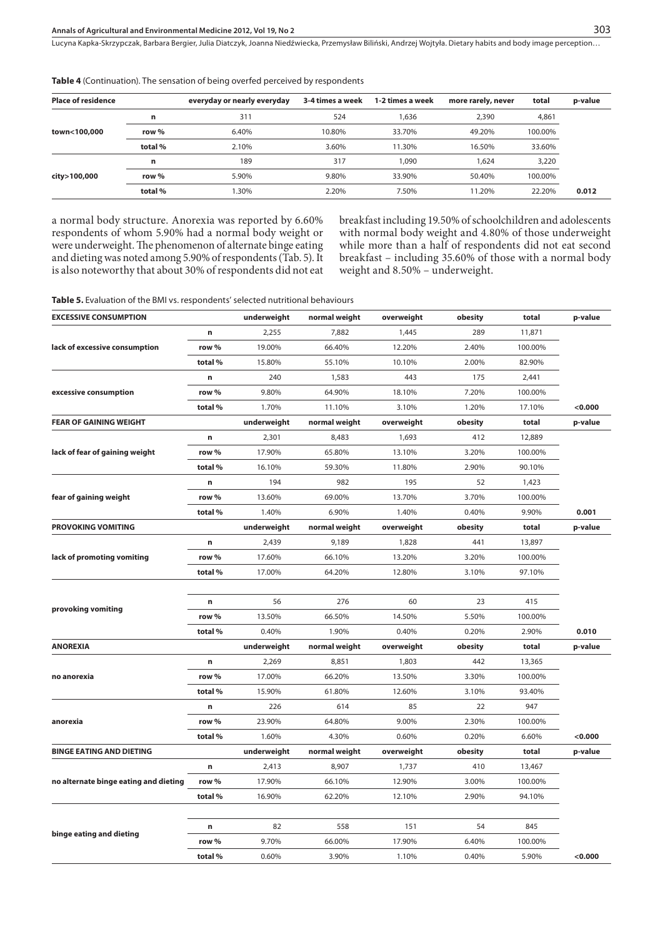| <b>Place of residence</b> |         | everyday or nearly everyday | 3-4 times a week | 1-2 times a week | more rarely, never | total   | p-value |
|---------------------------|---------|-----------------------------|------------------|------------------|--------------------|---------|---------|
|                           | n       | 311                         | 524              | 1.636            | 2,390              | 4,861   |         |
| town<100,000              | row %   | 6.40%                       | 10.80%           | 33.70%           | 49.20%             | 100.00% |         |
|                           | total % | 2.10%                       | 3.60%            | 11.30%           | 16.50%             | 33.60%  |         |
|                           | n       | 189                         | 317              | 1.090            | 1.624              | 3,220   |         |
| city>100,000              | row %   | 5.90%                       | 9.80%            | 33.90%           | 50.40%             | 100.00% |         |
|                           | total%  | .30%                        | 2.20%            | 7.50%            | 11.20%             | 22.20%  | 0.012   |

**Table 4** (Continuation). The sensation of being overfed perceived by respondents

a normal body structure. Anorexia was reported by 6.60% respondents of whom 5.90% had a normal body weight or were underweight. The phenomenon of alternate binge eating and dieting was noted among 5.90% of respondents (Tab. 5). It is also noteworthy that about 30% of respondents did not eat breakfast including 19.50% of schoolchildren and adolescents with normal body weight and 4.80% of those underweight while more than a half of respondents did not eat second breakfast – including 35.60% of those with a normal body weight and 8.50% – underweight.

**Table 5.** Evaluation of the BMI vs. respondents' selected nutritional behaviours

| <b>EXCESSIVE CONSUMPTION</b>          |         | underweight | normal weight | overweight | obesity | total   | p-value |
|---------------------------------------|---------|-------------|---------------|------------|---------|---------|---------|
|                                       | n       | 2,255       | 7,882         | 1,445      | 289     | 11,871  |         |
| lack of excessive consumption         | row %   | 19.00%      | 66.40%        | 12.20%     | 2.40%   | 100.00% |         |
|                                       | total % | 15.80%      | 55.10%        | 10.10%     | 2.00%   | 82.90%  |         |
|                                       | n       | 240         | 1,583         | 443        | 175     | 2,441   |         |
| excessive consumption                 | row %   | 9.80%       | 64.90%        | 18.10%     | 7.20%   | 100.00% |         |
|                                       | total%  | 1.70%       | 11.10%        | 3.10%      | 1.20%   | 17.10%  | <0.000  |
| <b>FEAR OF GAINING WEIGHT</b>         |         | underweight | normal weight | overweight | obesity | total   | p-value |
|                                       | n       | 2,301       | 8,483         | 1,693      | 412     | 12,889  |         |
| lack of fear of gaining weight        | row %   | 17.90%      | 65.80%        | 13.10%     | 3.20%   | 100.00% |         |
|                                       | total % | 16.10%      | 59.30%        | 11.80%     | 2.90%   | 90.10%  |         |
|                                       | n       | 194         | 982           | 195        | 52      | 1,423   |         |
| fear of gaining weight                | row %   | 13.60%      | 69.00%        | 13.70%     | 3.70%   | 100.00% |         |
|                                       | total%  | 1.40%       | 6.90%         | 1.40%      | 0.40%   | 9.90%   | 0.001   |
| <b>PROVOKING VOMITING</b>             |         | underweight | normal weight | overweight | obesity | total   | p-value |
|                                       | n       | 2,439       | 9,189         | 1,828      | 441     | 13,897  |         |
| lack of promoting vomiting            | row %   | 17.60%      | 66.10%        | 13.20%     | 3.20%   | 100.00% |         |
|                                       | total%  | 17.00%      | 64.20%        | 12.80%     | 3.10%   | 97.10%  |         |
|                                       |         |             |               |            |         |         |         |
|                                       | n       | 56          | 276           | 60         | 23      | 415     |         |
| provoking vomiting                    | row %   | 13.50%      | 66.50%        | 14.50%     | 5.50%   | 100.00% |         |
|                                       | total % | 0.40%       | 1.90%         | 0.40%      | 0.20%   | 2.90%   | 0.010   |
| <b>ANOREXIA</b>                       |         | underweight | normal weight | overweight | obesity | total   | p-value |
|                                       | n       | 2,269       | 8,851         | 1,803      | 442     | 13,365  |         |
| no anorexia                           | row %   | 17.00%      | 66.20%        | 13.50%     | 3.30%   | 100.00% |         |
|                                       | total%  | 15.90%      | 61.80%        | 12.60%     | 3.10%   | 93.40%  |         |
|                                       | n       | 226         | 614           | 85         | 22      | 947     |         |
| anorexia                              | row %   | 23.90%      | 64.80%        | 9.00%      | 2.30%   | 100.00% |         |
|                                       | total%  | 1.60%       | 4.30%         | 0.60%      | 0.20%   | 6.60%   | < 0.000 |
| <b>BINGE EATING AND DIETING</b>       |         | underweight | normal weight | overweight | obesity | total   | p-value |
|                                       | n       | 2,413       | 8,907         | 1,737      | 410     | 13,467  |         |
| no alternate binge eating and dieting | row %   | 17.90%      | 66.10%        | 12.90%     | 3.00%   | 100.00% |         |
|                                       | total % | 16.90%      | 62.20%        | 12.10%     | 2.90%   | 94.10%  |         |
|                                       |         |             |               |            |         |         |         |
|                                       | n       | 82          | 558           | 151        | 54      | 845     |         |
| binge eating and dieting              | row %   | 9.70%       | 66.00%        | 17.90%     | 6.40%   | 100.00% |         |
|                                       | total % | 0.60%       | 3.90%         | 1.10%      | 0.40%   | 5.90%   | < 0.000 |
|                                       |         |             |               |            |         |         |         |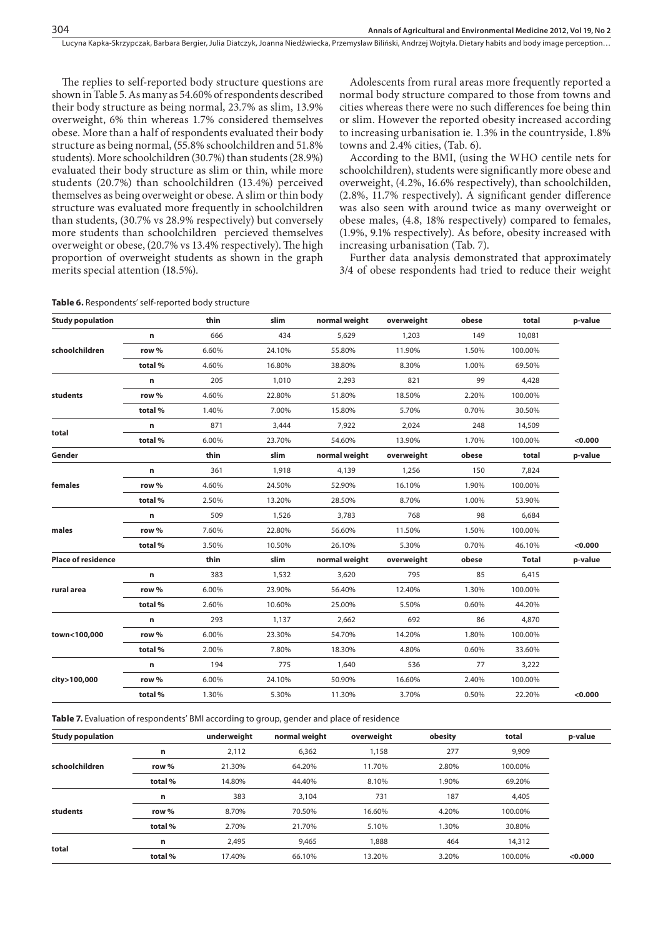The replies to self-reported body structure questions are shown in Table 5. As many as 54.60% of respondents described their body structure as being normal, 23.7% as slim, 13.9% overweight, 6% thin whereas 1.7% considered themselves obese. More than a half of respondents evaluated their body structure as being normal, (55.8% schoolchildren and 51.8% students). More schoolchildren (30.7%) than students (28.9%) evaluated their body structure as slim or thin, while more students (20.7%) than schoolchildren (13.4%) perceived themselves as being overweight or obese. A slim or thin body structure was evaluated more frequently in schoolchildren than students, (30.7% vs 28.9% respectively) but conversely more students than schoolchildren percieved themselves overweight or obese, (20.7% vs 13.4% respectively). The high proportion of overweight students as shown in the graph merits special attention (18.5%).

Adolescents from rural areas more frequently reported a normal body structure compared to those from towns and cities whereas there were no such differences foe being thin or slim. However the reported obesity increased according to increasing urbanisation ie. 1.3% in the countryside, 1.8% towns and 2.4% cities, (Tab. 6).

According to the BMI, (using the WHO centile nets for schoolchildren), students were significantly more obese and overweight, (4.2%, 16.6% respectively), than schoolchilden, (2.8%, 11.7% respectively). A significant gender difference was also seen with around twice as many overweight or obese males, (4.8, 18% respectively) compared to females, (1.9%, 9.1% respectively). As before, obesity increased with increasing urbanisation (Tab. 7).

Further data analysis demonstrated that approximately 3/4 of obese respondents had tried to reduce their weight

| <b>Study population</b>   |         | thin  | slim   | normal weight | overweight | obese | total        | p-value |
|---------------------------|---------|-------|--------|---------------|------------|-------|--------------|---------|
|                           | n       | 666   | 434    | 5,629         | 1,203      | 149   | 10,081       |         |
| schoolchildren            | row %   | 6.60% | 24.10% | 55.80%        | 11.90%     | 1.50% | 100.00%      |         |
|                           | total%  | 4.60% | 16.80% | 38.80%        | 8.30%      | 1.00% | 69.50%       |         |
|                           | n       | 205   | 1,010  | 2,293         | 821        | 99    | 4,428        |         |
| students                  | row %   | 4.60% | 22.80% | 51.80%        | 18.50%     | 2.20% | 100.00%      |         |
|                           | total % | 1.40% | 7.00%  | 15.80%        | 5.70%      | 0.70% | 30.50%       |         |
|                           | n       | 871   | 3,444  | 7,922         | 2,024      | 248   | 14,509       |         |
| total                     | total % | 6.00% | 23.70% | 54.60%        | 13.90%     | 1.70% | 100.00%      | < 0.000 |
| Gender                    |         | thin  | slim   | normal weight | overweight | obese | total        | p-value |
|                           | n       | 361   | 1,918  | 4,139         | 1,256      | 150   | 7,824        |         |
| females                   | row %   | 4.60% | 24.50% | 52.90%        | 16.10%     | 1.90% | 100.00%      |         |
|                           | total%  | 2.50% | 13.20% | 28.50%        | 8.70%      | 1.00% | 53.90%       |         |
|                           | n       | 509   | 1,526  | 3,783         | 768        | 98    | 6,684        |         |
| males                     | row %   | 7.60% | 22.80% | 56.60%        | 11.50%     | 1.50% | 100.00%      |         |
|                           | total % | 3.50% | 10.50% | 26.10%        | 5.30%      | 0.70% | 46.10%       | < 0.000 |
| <b>Place of residence</b> |         | thin  | slim   | normal weight | overweight | obese | <b>Total</b> | p-value |
|                           | n       | 383   | 1,532  | 3,620         | 795        | 85    | 6,415        |         |
| rural area                | row %   | 6.00% | 23.90% | 56.40%        | 12.40%     | 1.30% | 100.00%      |         |
|                           | total % | 2.60% | 10.60% | 25.00%        | 5.50%      | 0.60% | 44.20%       |         |
|                           | n       | 293   | 1,137  | 2,662         | 692        | 86    | 4,870        |         |
| town<100,000              | row %   | 6.00% | 23.30% | 54.70%        | 14.20%     | 1.80% | 100.00%      |         |
|                           | total%  | 2.00% | 7.80%  | 18.30%        | 4.80%      | 0.60% | 33.60%       |         |
|                           | n       | 194   | 775    | 1,640         | 536        | 77    | 3,222        |         |
| city>100,000              | row %   | 6.00% | 24.10% | 50.90%        | 16.60%     | 2.40% | 100.00%      |         |
|                           | total%  | 1.30% | 5.30%  | 11.30%        | 3.70%      | 0.50% | 22.20%       | < 0.000 |

**Table 6.** Respondents' self-reported body structure

**Table 7.** Evaluation of respondents' BMI according to group, gender and place of residence

| <b>Study population</b> |         | underweight | normal weight | overweight | obesity | total   | p-value |
|-------------------------|---------|-------------|---------------|------------|---------|---------|---------|
|                         | n       | 2,112       | 6,362         | 1,158      | 277     | 9,909   |         |
| schoolchildren          | row %   | 21.30%      | 64.20%        | 11.70%     | 2.80%   | 100.00% |         |
|                         | total % | 14.80%      | 44.40%        | 8.10%      | 1.90%   | 69.20%  |         |
|                         | n       | 383         | 3,104         | 731        | 187     | 4,405   |         |
| students                | row %   | 8.70%       | 70.50%        | 16.60%     | 4.20%   | 100.00% |         |
|                         | total % | 2.70%       | 21.70%        | 5.10%      | 1.30%   | 30.80%  |         |
| total                   | n       | 2,495       | 9,465         | 1,888      | 464     | 14,312  |         |
|                         | total % | 17.40%      | 66.10%        | 13.20%     | 3.20%   | 100.00% | < 0.000 |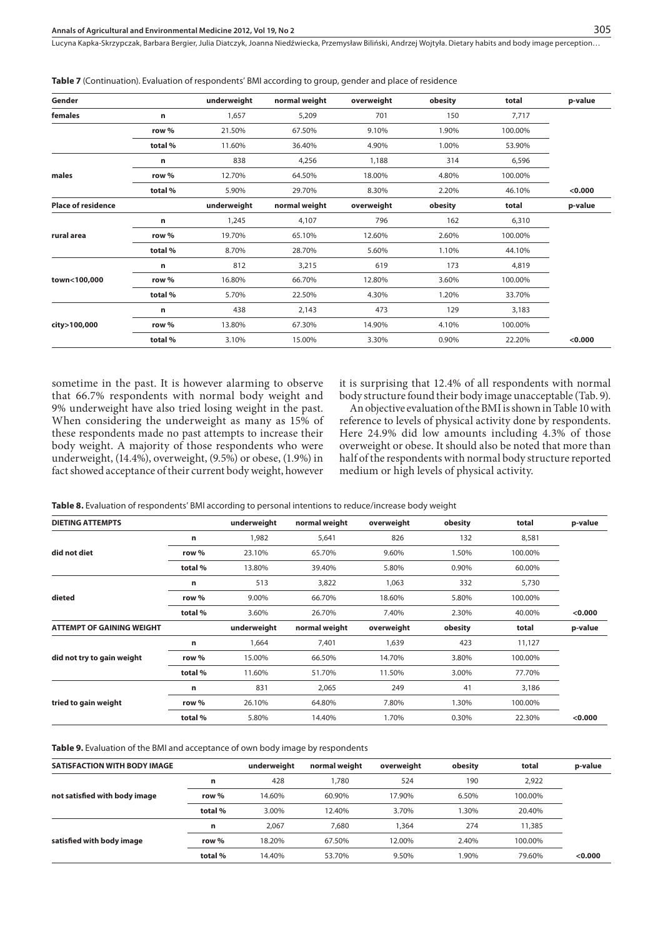**Table 7** (Continuation). Evaluation of respondents' BMI according to group, gender and place of residence

| Gender                    |         | underweight | normal weight | overweight | obesity | total   | p-value |
|---------------------------|---------|-------------|---------------|------------|---------|---------|---------|
| females                   | n       | 1,657       | 5,209         | 701        | 150     | 7,717   |         |
|                           | row %   | 21.50%      | 67.50%        | 9.10%      | 1.90%   | 100.00% |         |
|                           | total%  | 11.60%      | 36.40%        | 4.90%      | 1.00%   | 53.90%  |         |
|                           | n       | 838         | 4,256         | 1,188      | 314     | 6,596   |         |
| males                     | row %   | 12.70%      | 64.50%        | 18.00%     | 4.80%   | 100.00% |         |
|                           | total%  | 5.90%       | 29.70%        | 8.30%      | 2.20%   | 46.10%  | < 0.000 |
| <b>Place of residence</b> |         | underweight | normal weight | overweight | obesity | total   | p-value |
|                           | n       | 1,245       | 4,107         | 796        | 162     | 6,310   |         |
| rural area                | row %   | 19.70%      | 65.10%        | 12.60%     | 2.60%   | 100.00% |         |
|                           | total%  | 8.70%       | 28.70%        | 5.60%      | 1.10%   | 44.10%  |         |
|                           | n       | 812         | 3,215         | 619        | 173     | 4,819   |         |
| town<100,000              | row %   | 16.80%      | 66.70%        | 12.80%     | 3.60%   | 100.00% |         |
|                           | total%  | 5.70%       | 22.50%        | 4.30%      | 1.20%   | 33.70%  |         |
|                           | n       | 438         | 2,143         | 473        | 129     | 3,183   |         |
| city>100,000              | row %   | 13.80%      | 67.30%        | 14.90%     | 4.10%   | 100.00% |         |
|                           | total % | 3.10%       | 15.00%        | 3.30%      | 0.90%   | 22.20%  | < 0.000 |
|                           |         |             |               |            |         |         |         |

sometime in the past. It is however alarming to observe that 66.7% respondents with normal body weight and 9% underweight have also tried losing weight in the past. When considering the underweight as many as 15% of these respondents made no past attempts to increase their body weight. A majority of those respondents who were underweight, (14.4%), overweight, (9.5%) or obese, (1.9%) in fact showed acceptance of their current body weight, however

it is surprising that 12.4% of all respondents with normal body structure found their body image unacceptable (Tab. 9).

An objective evaluation of the BMI is shown in Table 10 with reference to levels of physical activity done by respondents. Here 24.9% did low amounts including 4.3% of those overweight or obese. It should also be noted that more than half of the respondents with normal body structure reported medium or high levels of physical activity.

**Table 8.** Evaluation of respondents' BMI according to personal intentions to reduce/increase body weight

| <b>DIETING ATTEMPTS</b>          |         | underweight | normal weight | overweight | obesity | total   | p-value            |
|----------------------------------|---------|-------------|---------------|------------|---------|---------|--------------------|
|                                  | n       | 1,982       | 5,641         | 826        | 132     | 8,581   |                    |
| did not diet                     | row %   | 23.10%      | 65.70%        | 9.60%      | 1.50%   | 100.00% |                    |
|                                  | total % | 13.80%      | 39.40%        | 5.80%      | 0.90%   | 60.00%  |                    |
|                                  | n       | 513         | 3,822         | 1,063      | 332     | 5,730   |                    |
| dieted                           | row %   | 9.00%       | 66.70%        | 18.60%     | 5.80%   | 100.00% |                    |
|                                  | total%  | 3.60%       | 26.70%        | 7.40%      | 2.30%   | 40.00%  | < 0.000            |
| <b>ATTEMPT OF GAINING WEIGHT</b> |         | underweight | normal weight | overweight | obesity | total   | p-value            |
|                                  | n       | 1,664       | 7,401         | 1,639      | 423     | 11,127  |                    |
| did not try to gain weight       | row %   | 15.00%      | 66.50%        | 14.70%     | 3.80%   | 100.00% |                    |
|                                  | total % | 11.60%      | 51.70%        | 11.50%     | 3.00%   | 77.70%  |                    |
|                                  | n       | 831         | 2,065         | 249        | 41      | 3,186   |                    |
| tried to gain weight             | row %   | 26.10%      | 64.80%        | 7.80%      | 1.30%   | 100.00% |                    |
|                                  | total % | 5.80%       | 14.40%        | 1.70%      | 0.30%   | 22.30%  | 0.000 <sub>0</sub> |

**Table 9.** Evaluation of the BMI and acceptance of own body image by respondents

| <b>SATISFACTION WITH BODY IMAGE</b> |         | underweight | normal weight | overweight | obesity | total   | p-value |
|-------------------------------------|---------|-------------|---------------|------------|---------|---------|---------|
|                                     | n       | 428         | 1,780         | 524        | 190     | 2,922   |         |
| not satisfied with body image       | row %   | 14.60%      | 60.90%        | 17.90%     | 6.50%   | 100.00% |         |
|                                     | total % | 3.00%       | 12.40%        | 3.70%      | 1.30%   | 20.40%  |         |
|                                     | n       | 2.067       | 7.680         | .364       | 274     | 11,385  |         |
| satisfied with body image           | row %   | 18.20%      | 67.50%        | 12.00%     | 2.40%   | 100.00% |         |
|                                     | total % | 14.40%      | 53.70%        | 9.50%      | 1.90%   | 79.60%  | < 0.000 |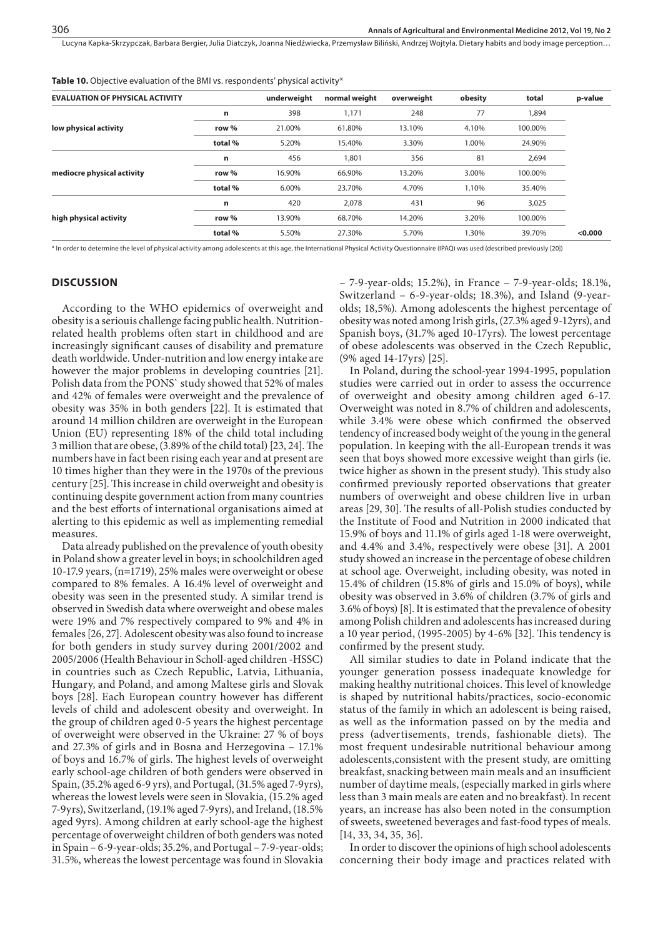Table 10. Objective evaluation of the BMI vs. respondents' physical activity\*

| <b>EVALUATION OF PHYSICAL ACTIVITY</b> |         | underweight | normal weight | overweight | obesity | total   | p-value |
|----------------------------------------|---------|-------------|---------------|------------|---------|---------|---------|
|                                        | n       | 398         | 1,171         | 248        | 77      | 1,894   |         |
| low physical activity                  | row %   | 21.00%      | 61.80%        | 13.10%     | 4.10%   | 100.00% |         |
|                                        | total % | 5.20%       | 15.40%        | 3.30%      | 1.00%   | 24.90%  |         |
| mediocre physical activity             | n       | 456         | 1,801         | 356        | 81      | 2,694   |         |
|                                        | row %   | 16.90%      | 66.90%        | 13.20%     | 3.00%   | 100.00% |         |
|                                        | total % | 6.00%       | 23.70%        | 4.70%      | 1.10%   | 35.40%  |         |
| high physical activity                 | n       | 420         | 2.078         | 431        | 96      | 3,025   |         |
|                                        | row %   | 13.90%      | 68.70%        | 14.20%     | 3.20%   | 100.00% |         |
|                                        | total % | 5.50%       | 27.30%        | 5.70%      | 1.30%   | 39.70%  | < 0.000 |

\* In order to determine the level of physical activity among adolescents at this age, the International Physical Activity Questionnaire (IPAQ) was used (described previously [20])

#### **DISCUSSION**

According to the WHO epidemics of overweight and obesity is a seriouis challenge facing public health. Nutritionrelated health problems often start in childhood and are increasingly significant causes of disability and premature death worldwide. Under-nutrition and low energy intake are however the major problems in developing countries [21]. Polish data from the PONS` study showed that 52% of males and 42% of females were overweight and the prevalence of obesity was 35% in both genders [22]. It is estimated that around 14 million children are overweight in the European Union (EU) representing 18% of the child total including 3 million that are obese, (3.89% of the child total) [23, 24]. The numbers have in fact been rising each year and at present are 10 times higher than they were in the 1970s of the previous century [25]. This increase in child overweight and obesity is continuing despite government action from many countries and the best efforts of international organisations aimed at alerting to this epidemic as well as implementing remedial measures.

Data already published on the prevalence of youth obesity in Poland show a greater level in boys; in schoolchildren aged 10-17.9 years, (n=1719), 25% males were overweight or obese compared to 8% females. A 16.4% level of overweight and obesity was seen in the presented study. A similar trend is observed in Swedish data where overweight and obese males were 19% and 7% respectively compared to 9% and 4% in females [26, 27]. Adolescent obesity was also found to increase for both genders in study survey during 2001/2002 and 2005/2006 (Health Behaviour in Scholl-aged children -HSSC) in countries such as Czech Republic, Latvia, Lithuania, Hungary, and Poland, and among Maltese girls and Slovak boys [28]. Each European country however has different levels of child and adolescent obesity and overweight. In the group of children aged 0-5 years the highest percentage of overweight were observed in the Ukraine: 27 % of boys and 27.3% of girls and in Bosna and Herzegovina – 17.1% of boys and 16.7% of girls. The highest levels of overweight early school-age children of both genders were observed in Spain, (35.2% aged 6-9 yrs), and Portugal, (31.5% aged 7-9yrs), whereas the lowest levels were seen in Slovakia, (15.2% aged 7-9yrs), Switzerland, (19.1% aged 7-9yrs), and Ireland, (18.5% aged 9yrs). Among children at early school-age the highest percentage of overweight children of both genders was noted in Spain – 6-9-year-olds; 35.2%, and Portugal – 7-9-year-olds; 31.5%, whereas the lowest percentage was found in Slovakia

– 7-9-year-olds; 15.2%), in France – 7-9-year-olds; 18.1%, Switzerland – 6-9-year-olds; 18.3%), and Island (9-yearolds; 18,5%). Among adolescents the highest percentage of obesity was noted among Irish girls, (27.3% aged 9-12yrs), and Spanish boys, (31.7% aged 10-17yrs). The lowest percentage of obese adolescents was observed in the Czech Republic, (9% aged 14-17yrs) [25].

In Poland, during the school-year 1994-1995, population studies were carried out in order to assess the occurrence of overweight and obesity among children aged 6-17. Overweight was noted in 8.7% of children and adolescents, while 3.4% were obese which confirmed the observed tendency of increased body weight of the young in the general population. In keeping with the all-European trends it was seen that boys showed more excessive weight than girls (ie. twice higher as shown in the present study). This study also confirmed previously reported observations that greater numbers of overweight and obese children live in urban areas [29, 30]. The results of all-Polish studies conducted by the Institute of Food and Nutrition in 2000 indicated that 15.9% of boys and 11.1% of girls aged 1-18 were overweight, and 4.4% and 3.4%, respectively were obese [31]. A 2001 study showed an increase in the percentage of obese children at school age. Overweight, including obesity, was noted in 15.4% of children (15.8% of girls and 15.0% of boys), while obesity was observed in 3.6% of children (3.7% of girls and 3.6% of boys) [8]. It is estimated that the prevalence of obesity among Polish children and adolescents has increased during a 10 year period, (1995-2005) by 4-6% [32]. This tendency is confirmed by the present study.

All similar studies to date in Poland indicate that the younger generation possess inadequate knowledge for making healthy nutritional choices. This level of knowledge is shaped by nutritional habits/practices, socio-economic status of the family in which an adolescent is being raised, as well as the information passed on by the media and press (advertisements, trends, fashionable diets). The most frequent undesirable nutritional behaviour among adolescents,consistent with the present study, are omitting breakfast, snacking between main meals and an insufficient number of daytime meals, (especially marked in girls where less than 3 main meals are eaten and no breakfast). In recent years, an increase has also been noted in the consumption of sweets, sweetened beverages and fast-food types of meals. [14, 33, 34, 35, 36].

In order to discover the opinions of high school adolescents concerning their body image and practices related with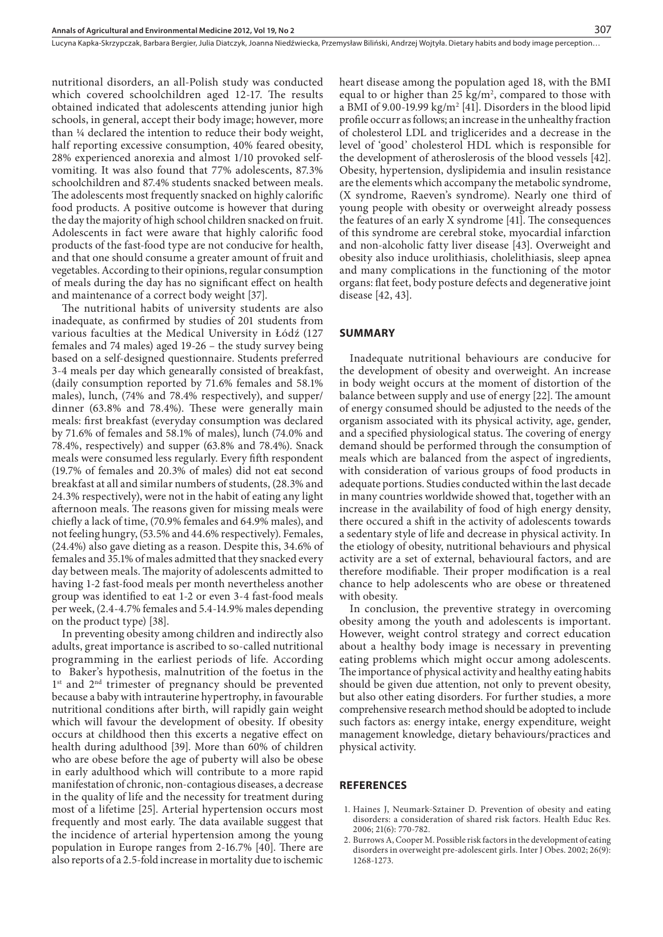nutritional disorders, an all-Polish study was conducted which covered schoolchildren aged 12-17. The results obtained indicated that adolescents attending junior high schools, in general, accept their body image; however, more than ¼ declared the intention to reduce their body weight, half reporting excessive consumption, 40% feared obesity, 28% experienced anorexia and almost 1/10 provoked selfvomiting. It was also found that 77% adolescents, 87.3% schoolchildren and 87.4% students snacked between meals. The adolescents most frequently snacked on highly calorific food products. A positive outcome is however that during the day the majority of high school children snacked on fruit. Adolescents in fact were aware that highly calorific food products of the fast-food type are not conducive for health, and that one should consume a greater amount of fruit and vegetables. According to their opinions, regular consumption of meals during the day has no significant effect on health and maintenance of a correct body weight [37].

The nutritional habits of university students are also inadequate, as confirmed by studies of 201 students from various faculties at the Medical University in Łódź (127 females and 74 males) aged 19-26 – the study survey being based on a self-designed questionnaire. Students preferred 3-4 meals per day which genearally consisted of breakfast, (daily consumption reported by 71.6% females and 58.1% males), lunch, (74% and 78.4% respectively), and supper/ dinner (63.8% and 78.4%). These were generally main meals: first breakfast (everyday consumption was declared by 71.6% of females and 58.1% of males), lunch (74.0% and 78.4%, respectively) and supper (63.8% and 78.4%). Snack meals were consumed less regularly. Every fifth respondent (19.7% of females and 20.3% of males) did not eat second breakfast at all and similar numbers of students, (28.3% and 24.3% respectively), were not in the habit of eating any light afternoon meals. The reasons given for missing meals were chiefly a lack of time, (70.9% females and 64.9% males), and not feeling hungry, (53.5% and 44.6% respectively). Females, (24.4%) also gave dieting as a reason. Despite this, 34.6% of females and 35.1% of males admitted that they snacked every day between meals. The majority of adolescents admitted to having 1-2 fast-food meals per month nevertheless another group was identified to eat 1-2 or even 3-4 fast-food meals per week, (2.4-4.7% females and 5.4-14.9% males depending on the product type) [38].

In preventing obesity among children and indirectly also adults, great importance is ascribed to so-called nutritional programming in the earliest periods of life. According to Baker's hypothesis, malnutrition of the foetus in the 1<sup>st</sup> and 2<sup>nd</sup> trimester of pregnancy should be prevented because a baby with intrauterine hypertrophy, in favourable nutritional conditions after birth, will rapidly gain weight which will favour the development of obesity. If obesity occurs at childhood then this excerts a negative effect on health during adulthood [39]. More than 60% of children who are obese before the age of puberty will also be obese in early adulthood which will contribute to a more rapid manifestation of chronic, non-contagious diseases, a decrease in the quality of life and the necessity for treatment during most of a lifetime [25]. Arterial hypertension occurs most frequently and most early. The data available suggest that the incidence of arterial hypertension among the young population in Europe ranges from 2-16.7% [40]. There are also reports of a 2.5-fold increase in mortality due to ischemic

heart disease among the population aged 18, with the BMI equal to or higher than 25  $\text{kg/m}^2$ , compared to those with a BMI of 9.00-19.99  $\text{kg/m}^2$  [41]. Disorders in the blood lipid profile occurr as follows; an increase in the unhealthy fraction of cholesterol LDL and triglicerides and a decrease in the level of 'good' cholesterol HDL which is responsible for the development of atheroslerosis of the blood vessels [42]. Obesity, hypertension, dyslipidemia and insulin resistance are the elements which accompany the metabolic syndrome, (X syndrome, Raeven's syndrome). Nearly one third of young people with obesity or overweight already possess the features of an early X syndrome [41]. The consequences of this syndrome are cerebral stoke, myocardial infarction and non-alcoholic fatty liver disease [43]. Overweight and obesity also induce urolithiasis, cholelithiasis, sleep apnea and many complications in the functioning of the motor organs: flat feet, body posture defects and degenerative joint disease [42, 43].

#### **SUMMARY**

Inadequate nutritional behaviours are conducive for the development of obesity and overweight. An increase in body weight occurs at the moment of distortion of the balance between supply and use of energy [22]. The amount of energy consumed should be adjusted to the needs of the organism associated with its physical activity, age, gender, and a specified physiological status. The covering of energy demand should be performed through the consumption of meals which are balanced from the aspect of ingredients, with consideration of various groups of food products in adequate portions. Studies conducted within the last decade in many countries worldwide showed that, together with an increase in the availability of food of high energy density, there occured a shift in the activity of adolescents towards a sedentary style of life and decrease in physical activity. In the etiology of obesity, nutritional behaviours and physical activity are a set of external, behavioural factors, and are therefore modifiable. Their proper modification is a real chance to help adolescents who are obese or threatened with obesity.

In conclusion, the preventive strategy in overcoming obesity among the youth and adolescents is important. However, weight control strategy and correct education about a healthy body image is necessary in preventing eating problems which might occur among adolescents. The importance of physical activity and healthy eating habits should be given due attention, not only to prevent obesity, but also other eating disorders. For further studies, a more comprehensive research method should be adopted to include such factors as: energy intake, energy expenditure, weight management knowledge, dietary behaviours/practices and physical activity.

#### **REFERENCES**

- 1. Haines J, Neumark-Sztainer D. Prevention of obesity and eating disorders: a consideration of shared risk factors. Health Educ Res. 2006; 21(6): 770-782.
- 2. Burrows A, Cooper M. Possible risk factors in the development of eating disorders in overweight pre-adolescent girls. Inter J Obes. 2002; 26(9): 1268-1273.